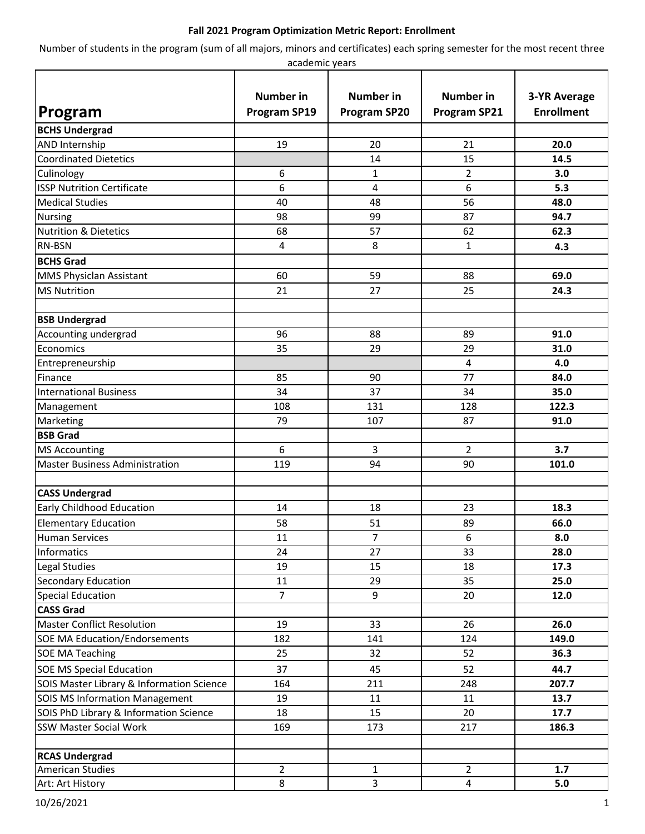## **Fall 2021 Program Optimization Metric Report: Enrollment**

Number of students in the program (sum of all majors, minors and certificates) each spring semester for the most recent three academic years

|                                           | <b>Number</b> in    | <b>Number in</b>    | <b>Number</b> in    | <b>3-YR Average</b> |
|-------------------------------------------|---------------------|---------------------|---------------------|---------------------|
| Program                                   | <b>Program SP19</b> | <b>Program SP20</b> | <b>Program SP21</b> | <b>Enrollment</b>   |
| <b>BCHS Undergrad</b>                     |                     |                     |                     |                     |
| AND Internship                            | 19                  | 20                  | 21                  | 20.0                |
| <b>Coordinated Dietetics</b>              |                     | 14                  | 15                  | 14.5                |
| Culinology                                | 6                   | 1                   | 2                   | 3.0                 |
| <b>ISSP Nutrition Certificate</b>         | 6                   | 4                   | 6                   | 5.3                 |
| <b>Medical Studies</b>                    | 40                  | 48                  | 56                  | 48.0                |
| <b>Nursing</b>                            | 98                  | 99                  | 87                  | 94.7                |
| <b>Nutrition &amp; Dietetics</b>          | 68                  | 57                  | 62                  | 62.3                |
| <b>RN-BSN</b>                             | 4                   | 8                   | 1                   | 4.3                 |
| <b>BCHS Grad</b>                          |                     |                     |                     |                     |
| <b>MMS Physiclan Assistant</b>            | 60                  | 59                  | 88                  | 69.0                |
| <b>MS Nutrition</b>                       | 21                  | 27                  | 25                  | 24.3                |
|                                           |                     |                     |                     |                     |
| <b>BSB Undergrad</b>                      |                     |                     |                     |                     |
| Accounting undergrad                      | 96                  | 88                  | 89                  | 91.0                |
| Economics                                 | 35                  | 29                  | 29                  | 31.0                |
| Entrepreneurship                          |                     |                     | 4                   | 4.0                 |
| Finance                                   | 85                  | 90                  | 77                  | 84.0                |
| <b>International Business</b>             | 34                  | 37                  | 34                  | 35.0                |
| Management                                | 108                 | 131                 | 128                 | 122.3               |
| Marketing                                 | 79                  | 107                 | 87                  | 91.0                |
| <b>BSB Grad</b>                           |                     |                     |                     |                     |
| <b>MS Accounting</b>                      | 6                   | 3                   | 2                   | 3.7                 |
| <b>Master Business Administration</b>     | 119                 | 94                  | 90                  | 101.0               |
|                                           |                     |                     |                     |                     |
| <b>CASS Undergrad</b>                     |                     |                     |                     |                     |
| Early Childhood Education                 | 14                  | 18                  | 23                  | 18.3                |
| <b>Elementary Education</b>               | 58                  | 51                  | 89                  | 66.0                |
| <b>Human Services</b>                     | 11                  | $\overline{7}$      | 6                   | 8.0                 |
| Informatics                               | 24                  | 27                  | 33                  | 28.0                |
| Legal Studies                             | 19                  | 15                  | 18                  | 17.3                |
| <b>Secondary Education</b>                | 11                  | 29                  | 35                  | 25.0                |
| <b>Special Education</b>                  | $\overline{7}$      | 9                   | 20                  | 12.0                |
| <b>CASS Grad</b>                          |                     |                     |                     |                     |
| <b>Master Conflict Resolution</b>         | 19                  | 33                  | 26                  | 26.0                |
| <b>SOE MA Education/Endorsements</b>      | 182                 | 141                 | 124                 | 149.0               |
| <b>SOE MA Teaching</b>                    | 25                  | 32                  | 52                  | 36.3                |
| <b>SOE MS Special Education</b>           | 37                  | 45                  | 52                  | 44.7                |
| SOIS Master Library & Information Science | 164                 | 211                 | 248                 | 207.7               |
| SOIS MS Information Management            | 19                  | 11                  | 11                  | 13.7                |
| SOIS PhD Library & Information Science    | 18                  | 15                  | 20                  | 17.7                |
| <b>SSW Master Social Work</b>             | 169                 | 173                 | 217                 | 186.3               |
|                                           |                     |                     |                     |                     |
| <b>RCAS Undergrad</b>                     |                     |                     |                     |                     |
| <b>American Studies</b>                   | $\overline{2}$      | 1                   | $\overline{2}$      | 1.7                 |
| Art: Art History                          | 8                   | 3                   | 4                   | 5.0                 |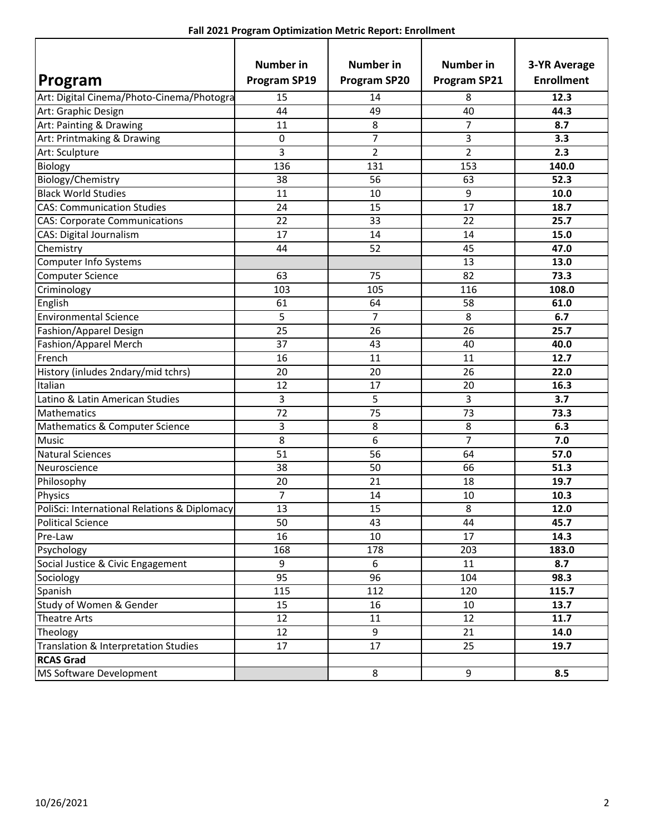| Fall 2021 Program Optimization Metric Report: Enrollment |  |  |  |
|----------------------------------------------------------|--|--|--|
|----------------------------------------------------------|--|--|--|

|                                              | <b>Number</b> in    | <b>Number in</b>    | <b>Number in</b>    | <b>3-YR Average</b> |
|----------------------------------------------|---------------------|---------------------|---------------------|---------------------|
| Program                                      | <b>Program SP19</b> | <b>Program SP20</b> | <b>Program SP21</b> | <b>Enrollment</b>   |
| Art: Digital Cinema/Photo-Cinema/Photogra    | 15                  | 14                  | 8                   | 12.3                |
| Art: Graphic Design                          | 44                  | 49                  | 40                  | 44.3                |
| Art: Painting & Drawing                      | 11                  | 8                   | 7                   | 8.7                 |
| Art: Printmaking & Drawing                   | 0                   | $\overline{7}$      | 3                   | 3.3                 |
| Art: Sculpture                               | 3                   | $\overline{2}$      | 2                   | 2.3                 |
| Biology                                      | 136                 | 131                 | 153                 | 140.0               |
| Biology/Chemistry                            | 38                  | 56                  | 63                  | 52.3                |
| <b>Black World Studies</b>                   | 11                  | 10                  | 9                   | 10.0                |
| <b>CAS: Communication Studies</b>            | 24                  | 15                  | 17                  | 18.7                |
| <b>CAS: Corporate Communications</b>         | 22                  | 33                  | 22                  | 25.7                |
| CAS: Digital Journalism                      | 17                  | 14                  | 14                  | 15.0                |
| Chemistry                                    | 44                  | 52                  | 45                  | 47.0                |
| Computer Info Systems                        |                     |                     | 13                  | 13.0                |
| <b>Computer Science</b>                      | 63                  | 75                  | 82                  | 73.3                |
| Criminology                                  | 103                 | 105                 | 116                 | 108.0               |
| English                                      | 61                  | 64                  | 58                  | 61.0                |
| <b>Environmental Science</b>                 | 5                   | $\overline{7}$      | 8                   | 6.7                 |
| Fashion/Apparel Design                       | 25                  | 26                  | 26                  | 25.7                |
| Fashion/Apparel Merch                        | 37                  | 43                  | 40                  | 40.0                |
| French                                       | 16                  | 11                  | 11                  | 12.7                |
| History (inludes 2ndary/mid tchrs)           | 20                  | 20                  | 26                  | 22.0                |
| Italian                                      | 12                  | 17                  | 20                  | 16.3                |
| Latino & Latin American Studies              | 3                   | 5                   | 3                   | 3.7                 |
| Mathematics                                  | 72                  | 75                  | 73                  | 73.3                |
| Mathematics & Computer Science               | 3                   | 8                   | 8                   | 6.3                 |
| <b>Music</b>                                 | 8                   | 6                   | 7                   | 7.0                 |
| <b>Natural Sciences</b>                      | 51                  | 56                  | 64                  | 57.0                |
| Neuroscience                                 | 38                  | 50                  | 66                  | 51.3                |
| Philosophy                                   | 20                  | 21                  | 18                  | 19.7                |
| Physics                                      | 7                   | 14                  | 10                  | 10.3                |
| PoliSci: International Relations & Diplomacy | 13                  | 15                  | 8                   | 12.0                |
| <b>Political Science</b>                     | 50                  | 43                  | 44                  | 45.7                |
| Pre-Law                                      | 16                  | 10                  | 17                  | 14.3                |
| Psychology                                   | 168                 | 178                 | 203                 | 183.0               |
| Social Justice & Civic Engagement            | 9                   | 6                   | 11                  | 8.7                 |
| Sociology                                    | 95                  | 96                  | 104                 | 98.3                |
| Spanish                                      | 115                 | 112                 | 120                 | 115.7               |
| Study of Women & Gender                      | 15                  | 16                  | 10                  | 13.7                |
| <b>Theatre Arts</b>                          | 12                  | 11                  | 12                  | 11.7                |
| Theology                                     | 12                  | 9                   | 21                  | 14.0                |
| Translation & Interpretation Studies         | 17                  | 17                  | 25                  | 19.7                |
| <b>RCAS Grad</b>                             |                     |                     |                     |                     |
| MS Software Development                      |                     | 8                   | 9                   | 8.5                 |

ľ

٦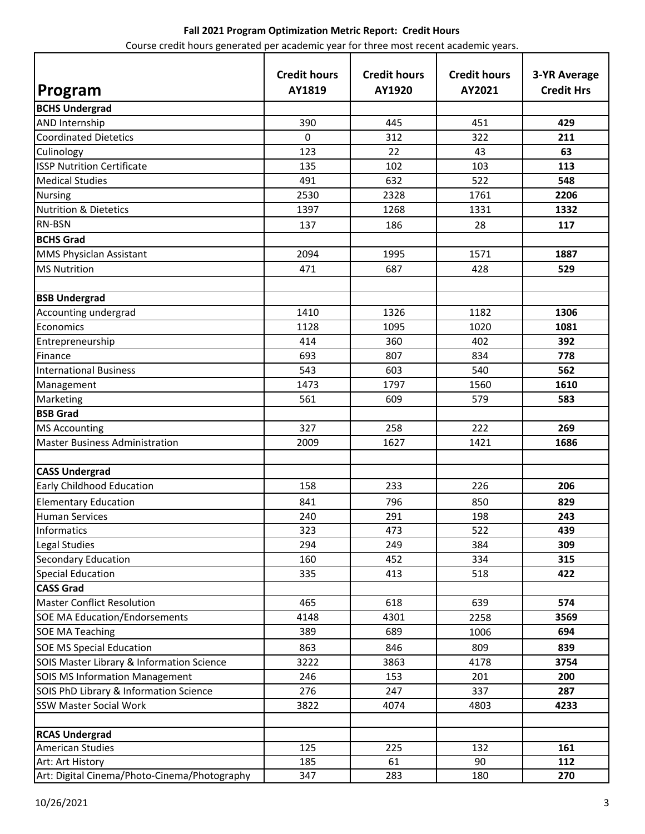| Program                                      | <b>Credit hours</b><br>AY1819 | <b>Credit hours</b><br>AY1920 | <b>Credit hours</b><br>AY2021 | <b>3-YR Average</b><br><b>Credit Hrs</b> |
|----------------------------------------------|-------------------------------|-------------------------------|-------------------------------|------------------------------------------|
| <b>BCHS Undergrad</b>                        |                               |                               |                               |                                          |
| <b>AND Internship</b>                        | 390                           | 445                           | 451                           | 429                                      |
| <b>Coordinated Dietetics</b>                 | 0                             | 312                           | 322                           | 211                                      |
| Culinology                                   | 123                           | 22                            | 43                            | 63                                       |
| <b>ISSP Nutrition Certificate</b>            | 135                           | 102                           | 103                           | 113                                      |
| <b>Medical Studies</b>                       | 491                           | 632                           | 522                           | 548                                      |
| <b>Nursing</b>                               | 2530                          | 2328                          | 1761                          | 2206                                     |
| <b>Nutrition &amp; Dietetics</b>             | 1397                          | 1268                          | 1331                          | 1332                                     |
| RN-BSN                                       | 137                           | 186                           | 28                            | 117                                      |
| <b>BCHS Grad</b>                             |                               |                               |                               |                                          |
| MMS Physiclan Assistant                      | 2094                          | 1995                          | 1571                          | 1887                                     |
| <b>MS Nutrition</b>                          | 471                           | 687                           | 428                           | 529                                      |
|                                              |                               |                               |                               |                                          |
| <b>BSB Undergrad</b>                         |                               |                               |                               |                                          |
| Accounting undergrad                         | 1410                          | 1326                          | 1182                          | 1306                                     |
| Economics                                    | 1128                          | 1095                          | 1020                          | 1081                                     |
| Entrepreneurship                             | 414                           | 360                           | 402                           | 392                                      |
| Finance                                      | 693                           | 807                           | 834                           | 778                                      |
| <b>International Business</b>                | 543                           | 603                           | 540                           | 562                                      |
| Management                                   | 1473                          | 1797                          | 1560                          | 1610                                     |
| Marketing                                    | 561                           | 609                           | 579                           | 583                                      |
| <b>BSB Grad</b>                              |                               |                               |                               |                                          |
| <b>MS Accounting</b>                         | 327                           | 258                           | 222                           | 269                                      |
| <b>Master Business Administration</b>        | 2009                          | 1627                          | 1421                          | 1686                                     |
|                                              |                               |                               |                               |                                          |
| <b>CASS Undergrad</b>                        |                               |                               |                               |                                          |
| Early Childhood Education                    | 158                           | 233                           | 226                           | 206                                      |
| <b>Elementary Education</b>                  | 841                           | 796                           | 850                           | 829                                      |
| <b>Human Services</b>                        | 240                           | 291                           | 198                           | 243                                      |
| Informatics                                  | 323                           | 473                           | 522                           | 439                                      |
| Legal Studies                                | 294                           | 249                           | 384                           | 309                                      |
| <b>Secondary Education</b>                   | 160                           | 452                           | 334                           | 315                                      |
| <b>Special Education</b>                     | 335                           | 413                           | 518                           | 422                                      |
| <b>CASS Grad</b>                             |                               |                               |                               |                                          |
| <b>Master Conflict Resolution</b>            | 465                           | 618                           | 639                           | 574                                      |
| <b>SOE MA Education/Endorsements</b>         | 4148                          | 4301                          | 2258                          | 3569                                     |
| <b>SOE MA Teaching</b>                       | 389                           | 689                           | 1006                          | 694                                      |
| <b>SOE MS Special Education</b>              | 863                           | 846                           | 809                           | 839                                      |
| SOIS Master Library & Information Science    | 3222                          | 3863                          | 4178                          | 3754                                     |
| <b>SOIS MS Information Management</b>        | 246                           | 153                           | 201                           | 200                                      |
| SOIS PhD Library & Information Science       | 276                           | 247                           | 337                           | 287                                      |
| <b>SSW Master Social Work</b>                | 3822                          | 4074                          | 4803                          | 4233                                     |
|                                              |                               |                               |                               |                                          |
| <b>RCAS Undergrad</b>                        |                               |                               |                               |                                          |
| <b>American Studies</b>                      | 125                           | 225                           | 132                           | 161                                      |
| Art: Art History                             | 185                           | 61                            | 90                            | 112                                      |
| Art: Digital Cinema/Photo-Cinema/Photography | 347                           | 283                           | 180                           | 270                                      |

# **Fall 2021 Program Optimization Metric Report: Credit Hours**

Course credit hours generated per academic year for three most recent academic years.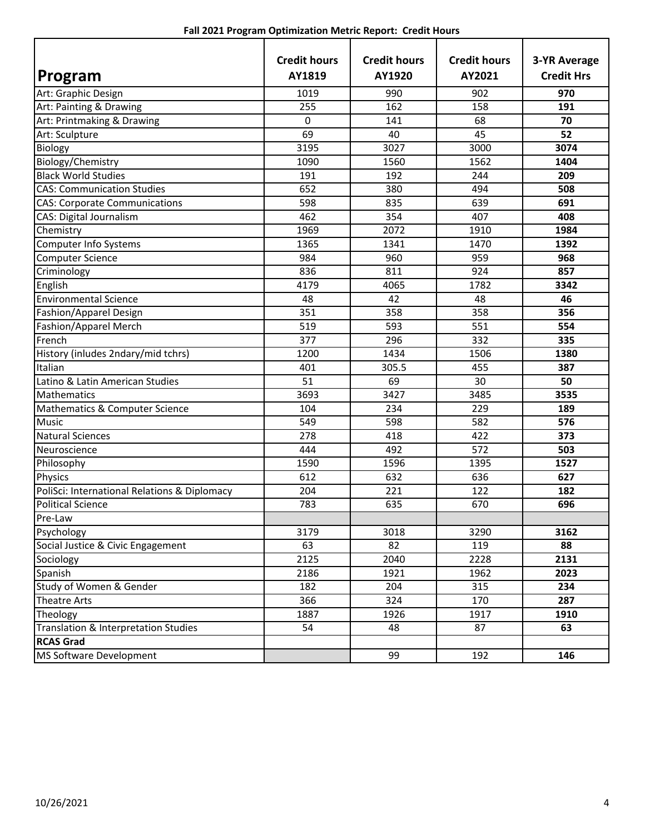|                                              | <b>Credit hours</b> | <b>Credit hours</b> | <b>Credit hours</b> | <b>3-YR Average</b> |
|----------------------------------------------|---------------------|---------------------|---------------------|---------------------|
| Program                                      | AY1819              | AY1920              | AY2021              | <b>Credit Hrs</b>   |
| Art: Graphic Design                          | 1019                | 990                 | 902                 | 970                 |
| Art: Painting & Drawing                      | 255                 | 162                 | 158                 | 191                 |
| Art: Printmaking & Drawing                   | 0                   | 141                 | 68                  | 70                  |
| Art: Sculpture                               | 69                  | 40                  | 45                  | 52                  |
| Biology                                      | 3195                | 3027                | 3000                | 3074                |
| Biology/Chemistry                            | 1090                | 1560                | 1562                | 1404                |
| <b>Black World Studies</b>                   | 191                 | 192                 | 244                 | 209                 |
| <b>CAS: Communication Studies</b>            | 652                 | 380                 | 494                 | 508                 |
| <b>CAS: Corporate Communications</b>         | 598                 | 835                 | 639                 | 691                 |
| CAS: Digital Journalism                      | 462                 | 354                 | 407                 | 408                 |
| Chemistry                                    | 1969                | 2072                | 1910                | 1984                |
| Computer Info Systems                        | 1365                | 1341                | 1470                | 1392                |
| <b>Computer Science</b>                      | 984                 | 960                 | 959                 | 968                 |
| Criminology                                  | 836                 | 811                 | 924                 | 857                 |
| English                                      | 4179                | 4065                | 1782                | 3342                |
| <b>Environmental Science</b>                 | 48                  | 42                  | 48                  | 46                  |
| Fashion/Apparel Design                       | 351                 | 358                 | 358                 | 356                 |
| Fashion/Apparel Merch                        | 519                 | 593                 | 551                 | 554                 |
| French                                       | 377                 | 296                 | 332                 | 335                 |
| History (inludes 2ndary/mid tchrs)           | 1200                | 1434                | 1506                | 1380                |
| Italian                                      | 401                 | 305.5               | 455                 | 387                 |
| Latino & Latin American Studies              | 51                  | 69                  | 30                  | 50                  |
| Mathematics                                  | 3693                | 3427                | 3485                | 3535                |
| Mathematics & Computer Science               | 104                 | 234                 | 229                 | 189                 |
| <b>Music</b>                                 | 549                 | 598                 | 582                 | 576                 |
| <b>Natural Sciences</b>                      | 278                 | 418                 | 422                 | 373                 |
| Neuroscience                                 | 444                 | 492                 | 572                 | 503                 |
| Philosophy                                   | 1590                | 1596                | 1395                | 1527                |
| Physics                                      | 612                 | 632                 | 636                 | 627                 |
| PoliSci: International Relations & Diplomacy | 204                 | 221                 | 122                 | 182                 |
| <b>Political Science</b>                     | 783                 | 635                 | 670                 | 696                 |
| Pre-Law                                      |                     |                     |                     |                     |
| Psychology                                   | 3179                | 3018                | 3290                | 3162                |
| Social Justice & Civic Engagement            | 63                  | 82                  | 119                 | 88                  |
| Sociology                                    | 2125                | 2040                | 2228                | 2131                |
| Spanish                                      | 2186                | 1921                | 1962                | 2023                |
| Study of Women & Gender                      | 182                 | 204                 | 315                 | 234                 |
| <b>Theatre Arts</b>                          | 366                 | 324                 | 170                 | 287                 |
| Theology                                     | 1887                | 1926                | 1917                | 1910                |
| Translation & Interpretation Studies         | 54                  | 48                  | 87                  | 63                  |
| <b>RCAS Grad</b>                             |                     |                     |                     |                     |
| MS Software Development                      |                     | 99                  | 192                 | 146                 |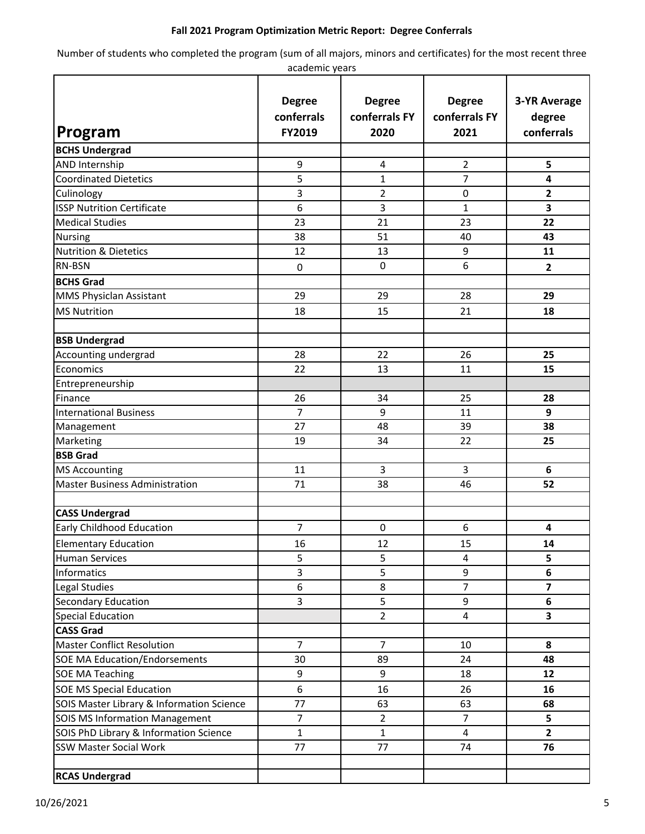## **Fall 2021 Program Optimization Metric Report: Degree Conferrals**

Number of students who completed the program (sum of all majors, minors and certificates) for the most recent three

| academic years                            |                                       |                                        |                                        |                                             |  |  |
|-------------------------------------------|---------------------------------------|----------------------------------------|----------------------------------------|---------------------------------------------|--|--|
| Program                                   | <b>Degree</b><br>conferrals<br>FY2019 | <b>Degree</b><br>conferrals FY<br>2020 | <b>Degree</b><br>conferrals FY<br>2021 | <b>3-YR Average</b><br>degree<br>conferrals |  |  |
| <b>BCHS Undergrad</b>                     |                                       |                                        |                                        |                                             |  |  |
| AND Internship                            | 9                                     | 4                                      | 2                                      | 5                                           |  |  |
| <b>Coordinated Dietetics</b>              | 5                                     | $\mathbf{1}$                           | 7                                      | 4                                           |  |  |
| Culinology                                | 3                                     | 2                                      | $\mathbf 0$                            | $\overline{2}$                              |  |  |
| <b>ISSP Nutrition Certificate</b>         | 6                                     | 3                                      | $\mathbf{1}$                           | 3                                           |  |  |
| <b>Medical Studies</b>                    | 23                                    | 21                                     | 23                                     | 22                                          |  |  |
| Nursing                                   | 38                                    | 51                                     | 40                                     | 43                                          |  |  |
| <b>Nutrition &amp; Dietetics</b>          | 12                                    | 13                                     | 9                                      | 11                                          |  |  |
| RN-BSN                                    | $\pmb{0}$                             | $\pmb{0}$                              | 6                                      | $\overline{2}$                              |  |  |
| <b>BCHS Grad</b>                          |                                       |                                        |                                        |                                             |  |  |
|                                           | 29                                    | 29                                     | 28                                     | 29                                          |  |  |
| MMS Physiclan Assistant                   |                                       |                                        |                                        |                                             |  |  |
| <b>MS Nutrition</b>                       | 18                                    | 15                                     | 21                                     | 18                                          |  |  |
| <b>BSB Undergrad</b>                      |                                       |                                        |                                        |                                             |  |  |
| Accounting undergrad                      | 28                                    | 22                                     | 26                                     | 25                                          |  |  |
| Economics                                 | 22                                    | 13                                     | 11                                     | 15                                          |  |  |
| Entrepreneurship                          |                                       |                                        |                                        |                                             |  |  |
| Finance                                   | 26                                    | 34                                     | 25                                     | 28                                          |  |  |
| <b>International Business</b>             | $\overline{7}$                        | 9                                      | 11                                     | 9                                           |  |  |
| Management                                | 27                                    | 48                                     | 39                                     | 38                                          |  |  |
| Marketing                                 | 19                                    | 34                                     | 22                                     | 25                                          |  |  |
| <b>BSB Grad</b>                           |                                       |                                        |                                        |                                             |  |  |
| <b>MS Accounting</b>                      | 11                                    | 3                                      | 3                                      | 6                                           |  |  |
| <b>Master Business Administration</b>     | 71                                    | 38                                     | 46                                     | 52                                          |  |  |
|                                           |                                       |                                        |                                        |                                             |  |  |
| <b>CASS Undergrad</b>                     |                                       |                                        |                                        |                                             |  |  |
| <b>Early Childhood Education</b>          | 7                                     | $\pmb{0}$                              | 6                                      | 4                                           |  |  |
| <b>Elementary Education</b>               | 16                                    | 12                                     | 15                                     | 14                                          |  |  |
| <b>Human Services</b>                     | 5                                     | 5                                      | $\overline{4}$                         | 5                                           |  |  |
| Informatics                               | 3                                     | 5                                      | 9                                      | 6                                           |  |  |
| Legal Studies                             | 6                                     | 8                                      | $\overline{7}$                         | $\overline{\mathbf{z}}$                     |  |  |
| Secondary Education                       | 3                                     | 5                                      | 9                                      | 6                                           |  |  |
| <b>Special Education</b>                  |                                       | $\overline{2}$                         | 4                                      | 3                                           |  |  |
| <b>CASS Grad</b>                          |                                       |                                        |                                        |                                             |  |  |
| <b>Master Conflict Resolution</b>         | $\overline{7}$                        | $\overline{7}$                         | 10                                     | 8                                           |  |  |
| <b>SOE MA Education/Endorsements</b>      | 30                                    | 89                                     | 24                                     | 48                                          |  |  |
| <b>SOE MA Teaching</b>                    | 9                                     | 9                                      | 18                                     | 12                                          |  |  |
| <b>SOE MS Special Education</b>           | $\boldsymbol{6}$                      | 16                                     | 26                                     | 16                                          |  |  |
| SOIS Master Library & Information Science | 77                                    | 63                                     | 63                                     | 68                                          |  |  |
| SOIS MS Information Management            | 7                                     | $\overline{2}$                         | $\overline{7}$                         | 5                                           |  |  |
| SOIS PhD Library & Information Science    | $\mathbf{1}$                          | $\mathbf{1}$                           | $\overline{4}$                         | $\overline{2}$                              |  |  |
| <b>SSW Master Social Work</b>             | 77                                    | 77                                     | 74                                     | 76                                          |  |  |
| <b>RCAS Undergrad</b>                     |                                       |                                        |                                        |                                             |  |  |
|                                           |                                       |                                        |                                        |                                             |  |  |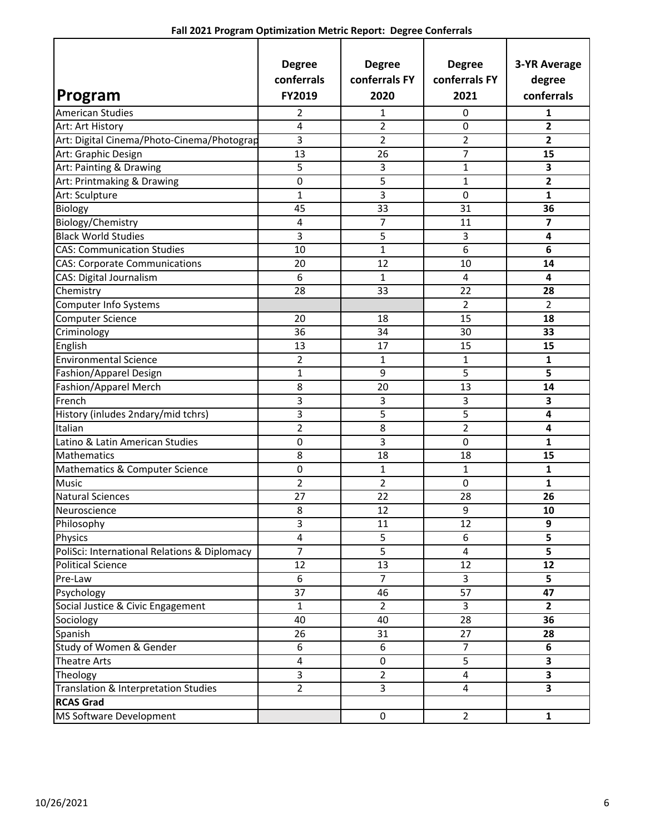| Program                                      | <b>Degree</b><br>conferrals<br>FY2019 | <b>Degree</b><br>conferrals FY<br>2020 | <b>Degree</b><br>conferrals FY<br>2021 | <b>3-YR Average</b><br>degree<br>conferrals |
|----------------------------------------------|---------------------------------------|----------------------------------------|----------------------------------------|---------------------------------------------|
| <b>American Studies</b>                      | 2                                     | 1                                      | 0                                      | 1                                           |
| Art: Art History                             | 4                                     | 2                                      | 0                                      | $\overline{2}$                              |
| Art: Digital Cinema/Photo-Cinema/Photograp   | 3                                     | 2                                      | 2                                      | 2                                           |
| Art: Graphic Design                          | 13                                    | 26                                     | 7                                      | 15                                          |
| Art: Painting & Drawing                      | 5                                     | 3                                      | $\mathbf{1}$                           | 3                                           |
| Art: Printmaking & Drawing                   | $\pmb{0}$                             | 5                                      | 1                                      | 2                                           |
| Art: Sculpture                               | $\mathbf{1}$                          | 3                                      | 0                                      | 1                                           |
| Biology                                      | 45                                    | 33                                     | 31                                     | 36                                          |
| Biology/Chemistry                            | 4                                     | 7                                      | 11                                     | 7                                           |
| <b>Black World Studies</b>                   | 3                                     | 5                                      | 3                                      | 4                                           |
| <b>CAS: Communication Studies</b>            | 10                                    | 1                                      | 6                                      | 6                                           |
| <b>CAS: Corporate Communications</b>         | 20                                    | 12                                     | 10                                     | 14                                          |
| CAS: Digital Journalism                      | 6                                     | $\mathbf{1}$                           | 4                                      | 4                                           |
| Chemistry                                    | 28                                    | 33                                     | 22                                     | 28                                          |
| <b>Computer Info Systems</b>                 |                                       |                                        | $\overline{2}$                         | 2                                           |
| <b>Computer Science</b>                      | 20                                    | 18                                     | 15                                     | 18                                          |
| Criminology                                  | 36                                    | 34                                     | 30                                     | 33                                          |
| English                                      | 13                                    | 17                                     | 15                                     | 15                                          |
| <b>Environmental Science</b>                 | $\overline{2}$                        | 1                                      | 1                                      | 1                                           |
| Fashion/Apparel Design                       | 1                                     | 9                                      | 5                                      | 5                                           |
| Fashion/Apparel Merch                        | 8                                     | 20                                     | 13                                     | 14                                          |
| French                                       | 3                                     | 3                                      | 3                                      | 3                                           |
| History (inludes 2ndary/mid tchrs)           | 3                                     | 5                                      | 5                                      | 4                                           |
| Italian                                      | $\overline{2}$                        | 8                                      | $\overline{2}$                         | 4                                           |
| Latino & Latin American Studies              | 0                                     | 3                                      | 0                                      | 1                                           |
| Mathematics                                  | 8                                     | 18                                     | 18                                     | 15                                          |
| Mathematics & Computer Science               | $\pmb{0}$                             | 1                                      | 1                                      | 1                                           |
| Music                                        | $\overline{2}$                        | 2                                      | 0                                      | 1                                           |
| <b>Natural Sciences</b>                      | 27                                    | 22                                     | 28                                     | 26                                          |
| Neuroscience                                 | 8                                     | 12                                     | 9                                      | 10                                          |
| Philosophy                                   | 3                                     | 11                                     | 12                                     | 9                                           |
| Physics                                      | 4                                     | 5                                      | 6                                      | 5                                           |
| PoliSci: International Relations & Diplomacy | $\overline{7}$                        | $\overline{5}$                         | 4                                      | 5                                           |
| <b>Political Science</b>                     | 12                                    | 13                                     | 12                                     | 12                                          |
| Pre-Law                                      | 6                                     | $\overline{7}$                         | 3                                      | 5                                           |
| Psychology                                   | 37                                    | 46                                     | 57                                     | 47                                          |
| Social Justice & Civic Engagement            | $\mathbf{1}$                          | $\overline{2}$                         | $\overline{3}$                         | $\mathbf{2}$                                |
| Sociology                                    | 40                                    | 40                                     | 28                                     | 36                                          |
| Spanish                                      | 26                                    | 31                                     | 27                                     | 28                                          |
| Study of Women & Gender                      | 6                                     | $\boldsymbol{6}$                       | $\overline{7}$                         | 6                                           |
| <b>Theatre Arts</b>                          | $\overline{\mathbf{4}}$               | $\mathsf 0$                            | $\overline{5}$                         | 3                                           |
| Theology                                     | 3                                     | $\overline{2}$                         | 4                                      | $\overline{\mathbf{3}}$                     |
| Translation & Interpretation Studies         | $\overline{2}$                        | $\overline{3}$                         | 4                                      | $\overline{\mathbf{3}}$                     |
| <b>RCAS Grad</b>                             |                                       |                                        |                                        |                                             |
| MS Software Development                      |                                       | $\pmb{0}$                              | $\overline{2}$                         | $\mathbf{1}$                                |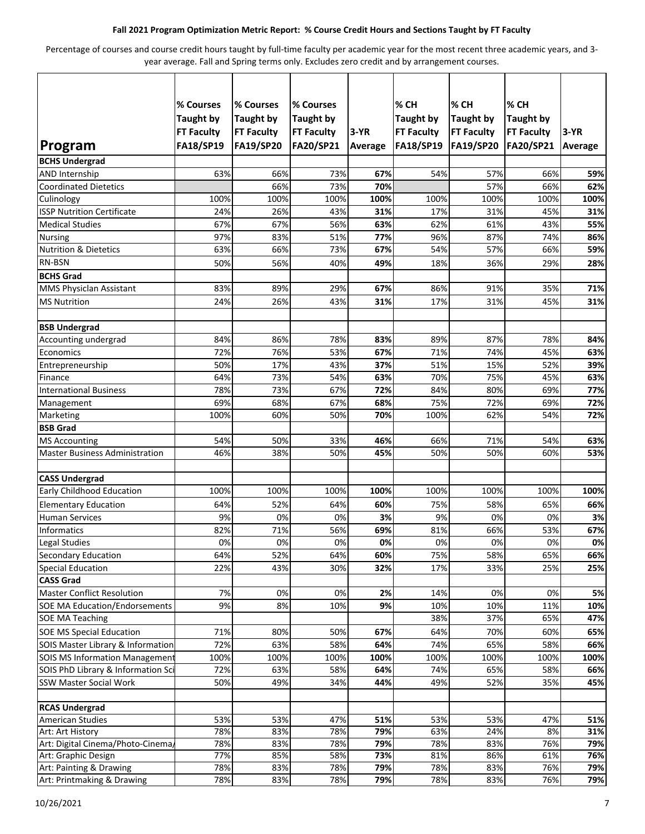#### **Fall 2021 Program Optimization Metric Report: % Course Credit Hours and Sections Taught by FT Faculty**

Percentage of courses and course credit hours taught by full-time faculty per academic year for the most recent three academic years, and 3 year average. Fall and Spring terms only. Excludes zero credit and by arrangement courses.

| Program                               | % Courses<br><b>Taught by</b><br><b>FT Faculty</b><br><b>FA18/SP19</b> | % Courses<br><b>Taught by</b><br><b>FT Faculty</b><br><b>FA19/SP20</b> | % Courses<br><b>Taught by</b><br><b>FT Faculty</b><br>FA20/SP21 | $3-YR$<br><b>Average</b> | % CH<br><b>Taught by</b><br><b>FT Faculty</b><br><b>FA18/SP19</b> | % CH<br><b>Taught by</b><br><b>FT Faculty</b><br><b>FA19/SP20</b> | % CH<br><b>Taught by</b><br><b>FT Faculty</b><br>FA20/SP21 | $3-YR$<br>Average |
|---------------------------------------|------------------------------------------------------------------------|------------------------------------------------------------------------|-----------------------------------------------------------------|--------------------------|-------------------------------------------------------------------|-------------------------------------------------------------------|------------------------------------------------------------|-------------------|
| <b>BCHS Undergrad</b>                 |                                                                        |                                                                        |                                                                 |                          |                                                                   |                                                                   |                                                            |                   |
| AND Internship                        | 63%                                                                    | 66%                                                                    | 73%                                                             | 67%                      | 54%                                                               | 57%                                                               | 66%                                                        | 59%               |
| <b>Coordinated Dietetics</b>          |                                                                        | 66%                                                                    | 73%                                                             | 70%                      |                                                                   | 57%                                                               | 66%                                                        | 62%               |
| Culinology                            | 100%                                                                   | 100%                                                                   | 100%                                                            | 100%                     | 100%                                                              | 100%                                                              | 100%                                                       | 100%              |
| <b>ISSP Nutrition Certificate</b>     | 24%                                                                    | 26%                                                                    | 43%                                                             | 31%                      | 17%                                                               | 31%                                                               | 45%                                                        | 31%               |
| <b>Medical Studies</b>                | 67%                                                                    | 67%                                                                    | 56%                                                             | 63%                      | 62%                                                               | 61%                                                               | 43%                                                        | 55%               |
| <b>Nursing</b>                        | 97%                                                                    | 83%                                                                    | 51%                                                             | 77%                      | 96%                                                               | 87%                                                               | 74%                                                        | 86%               |
| <b>Nutrition &amp; Dietetics</b>      | 63%                                                                    | 66%                                                                    | 73%                                                             | 67%                      | 54%                                                               | 57%                                                               | 66%                                                        | 59%               |
| <b>RN-BSN</b>                         | 50%                                                                    | 56%                                                                    | 40%                                                             | 49%                      | 18%                                                               | 36%                                                               | 29%                                                        | 28%               |
| <b>BCHS Grad</b>                      |                                                                        |                                                                        |                                                                 |                          |                                                                   |                                                                   |                                                            |                   |
| MMS Physiclan Assistant               | 83%                                                                    | 89%                                                                    | 29%                                                             | 67%                      | 86%                                                               | 91%                                                               | 35%                                                        | 71%               |
| <b>MS Nutrition</b>                   | 24%                                                                    | 26%                                                                    | 43%                                                             | 31%                      | 17%                                                               | 31%                                                               | 45%                                                        | 31%               |
| <b>BSB Undergrad</b>                  |                                                                        |                                                                        |                                                                 |                          |                                                                   |                                                                   |                                                            |                   |
| Accounting undergrad                  | 84%                                                                    | 86%                                                                    | 78%                                                             | 83%                      | 89%                                                               | 87%                                                               | 78%                                                        | 84%               |
| Economics                             | 72%                                                                    | 76%                                                                    | 53%                                                             | 67%                      | 71%                                                               | 74%                                                               | 45%                                                        | 63%               |
| Entrepreneurship                      | 50%                                                                    | 17%                                                                    | 43%                                                             | 37%                      | 51%                                                               | 15%                                                               | 52%                                                        | 39%               |
| Finance                               | 64%                                                                    | 73%                                                                    | 54%                                                             | 63%                      | 70%                                                               | 75%                                                               | 45%                                                        | 63%               |
| <b>International Business</b>         | 78%                                                                    | 73%                                                                    | 67%                                                             | 72%                      | 84%                                                               | 80%                                                               | 69%                                                        | 77%               |
| Management                            | 69%                                                                    | 68%                                                                    | 67%                                                             | 68%                      | 75%                                                               | 72%                                                               | 69%                                                        | 72%               |
| Marketing                             | 100%                                                                   | 60%                                                                    | 50%                                                             | 70%                      | 100%                                                              | 62%                                                               | 54%                                                        | 72%               |
| <b>BSB Grad</b>                       |                                                                        |                                                                        |                                                                 |                          |                                                                   |                                                                   |                                                            |                   |
| <b>MS Accounting</b>                  | 54%                                                                    | 50%                                                                    | 33%                                                             | 46%                      | 66%                                                               | 71%                                                               | 54%                                                        | 63%               |
| <b>Master Business Administration</b> | 46%                                                                    | 38%                                                                    | 50%                                                             | 45%                      | 50%                                                               | 50%                                                               | 60%                                                        | 53%               |
| <b>CASS Undergrad</b>                 |                                                                        |                                                                        |                                                                 |                          |                                                                   |                                                                   |                                                            |                   |
| <b>Early Childhood Education</b>      | 100%                                                                   | 100%                                                                   | 100%                                                            | 100%                     | 100%                                                              | 100%                                                              | 100%                                                       | 100%              |
| <b>Elementary Education</b>           | 64%                                                                    | 52%                                                                    | 64%                                                             | 60%                      | 75%                                                               | 58%                                                               | 65%                                                        | 66%               |
| <b>Human Services</b>                 | 9%                                                                     | 0%                                                                     | 0%                                                              | 3%                       | 9%                                                                | 0%                                                                | 0%                                                         | 3%                |
| Informatics                           | 82%                                                                    | 71%                                                                    | 56%                                                             | 69%                      | 81%                                                               | 66%                                                               | 53%                                                        | 67%               |
| Legal Studies                         | 0%                                                                     | $0\%$                                                                  | 0%                                                              | 0%                       | $0\%$                                                             | 0%                                                                | 0%                                                         | $0\%$             |
| <b>Secondary Education</b>            | 64%                                                                    | 52%                                                                    | 64%                                                             | 60%                      | 75%                                                               | 58%                                                               | 65%                                                        | 66%               |
| <b>Special Education</b>              | 22%                                                                    | 43%                                                                    | 30%                                                             | 32%                      | 17%                                                               | 33%                                                               | 25%                                                        | 25%               |
| <b>CASS Grad</b>                      |                                                                        |                                                                        |                                                                 |                          |                                                                   |                                                                   |                                                            |                   |
| <b>Master Conflict Resolution</b>     | 7%                                                                     | 0%                                                                     | 0%                                                              | 2%                       | 14%                                                               | 0%                                                                | 0%                                                         | 5%                |
| <b>SOE MA Education/Endorsements</b>  | 9%                                                                     | 8%                                                                     | 10%                                                             | 9%                       | 10%                                                               | 10%                                                               | 11%                                                        | 10%               |
| <b>SOE MA Teaching</b>                |                                                                        |                                                                        |                                                                 |                          | 38%                                                               | 37%                                                               | 65%                                                        | 47%               |
| <b>SOE MS Special Education</b>       | 71%                                                                    | 80%                                                                    | 50%                                                             | 67%                      | 64%                                                               | 70%                                                               | 60%                                                        | 65%               |
| SOIS Master Library & Information     | 72%                                                                    | 63%                                                                    | 58%                                                             | 64%                      | 74%                                                               | 65%                                                               | 58%                                                        | 66%               |
| <b>SOIS MS Information Management</b> | 100%                                                                   | 100%                                                                   | 100%                                                            | 100%                     | 100%                                                              | 100%                                                              | 100%                                                       | 100%              |
| SOIS PhD Library & Information Sci    | 72%                                                                    | 63%                                                                    | 58%                                                             | 64%                      | 74%                                                               | 65%                                                               | 58%                                                        | 66%               |
| <b>SSW Master Social Work</b>         | 50%                                                                    | 49%                                                                    | 34%                                                             | 44%                      | 49%                                                               | 52%                                                               | 35%                                                        | 45%               |
| <b>RCAS Undergrad</b>                 |                                                                        |                                                                        |                                                                 |                          |                                                                   |                                                                   |                                                            |                   |
| <b>American Studies</b>               | 53%                                                                    | 53%                                                                    | 47%                                                             | 51%                      | 53%                                                               | 53%                                                               | 47%                                                        | 51%               |
| Art: Art History                      | 78%                                                                    | 83%                                                                    | 78%                                                             | 79%                      | 63%                                                               | 24%                                                               | 8%                                                         | 31%               |
| Art: Digital Cinema/Photo-Cinema,     | 78%                                                                    | 83%                                                                    | 78%                                                             | 79%                      | 78%                                                               | 83%                                                               | 76%                                                        | 79%               |
| Art: Graphic Design                   | 77%                                                                    | 85%                                                                    | 58%                                                             | 73%                      | 81%                                                               | 86%                                                               | 61%                                                        | 76%               |
| Art: Painting & Drawing               | 78%                                                                    | 83%                                                                    | 78%                                                             | 79%                      | 78%                                                               | 83%                                                               | 76%                                                        | 79%               |
| Art: Printmaking & Drawing            | 78%                                                                    | 83%                                                                    | 78%                                                             | 79%                      | 78%                                                               | 83%                                                               | 76%                                                        | 79%               |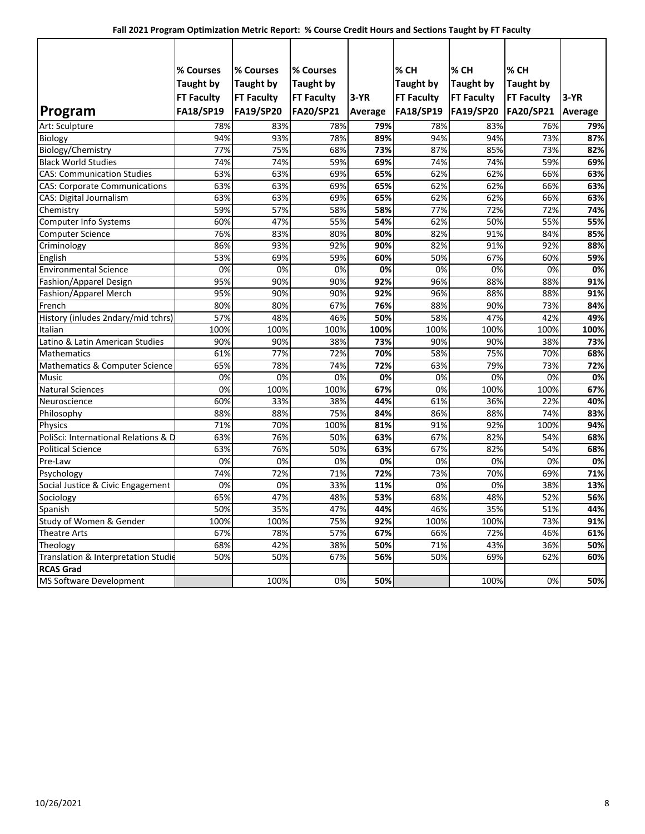|                                      | % Courses         | % Courses         | % Courses         |                | % CH              | % CH              | % CH              |         |
|--------------------------------------|-------------------|-------------------|-------------------|----------------|-------------------|-------------------|-------------------|---------|
|                                      | <b>Taught by</b>  | <b>Taught by</b>  | <b>Taught by</b>  |                | <b>Taught by</b>  | <b>Taught by</b>  | <b>Taught by</b>  |         |
|                                      | <b>FT Faculty</b> | <b>FT Faculty</b> | <b>FT Faculty</b> | $3-YR$         | <b>FT Faculty</b> | <b>FT Faculty</b> | <b>FT Faculty</b> | $3-YR$  |
| Program                              | <b>FA18/SP19</b>  | <b>FA19/SP20</b>  | FA20/SP21         | <b>Average</b> | <b>FA18/SP19</b>  | FA19/SP20         | FA20/SP21         | Average |
| Art: Sculpture                       | 78%               | 83%               | 78%               | 79%            | 78%               | 83%               | 76%               | 79%     |
| Biology                              | 94%               | 93%               | 78%               | 89%            | 94%               | 94%               | 73%               | 87%     |
| Biology/Chemistry                    | 77%               | 75%               | 68%               | 73%            | 87%               | 85%               | 73%               | 82%     |
| <b>Black World Studies</b>           | 74%               | 74%               | 59%               | 69%            | 74%               | 74%               | 59%               | 69%     |
| <b>CAS: Communication Studies</b>    | 63%               | 63%               | 69%               | 65%            | 62%               | 62%               | 66%               | 63%     |
| <b>CAS: Corporate Communications</b> | 63%               | 63%               | 69%               | 65%            | 62%               | 62%               | 66%               | 63%     |
| <b>CAS: Digital Journalism</b>       | 63%               | 63%               | 69%               | 65%            | 62%               | 62%               | 66%               | 63%     |
| Chemistry                            | 59%               | 57%               | 58%               | 58%            | 77%               | 72%               | 72%               | 74%     |
| <b>Computer Info Systems</b>         | 60%               | 47%               | 55%               | 54%            | 62%               | 50%               | 55%               | 55%     |
| <b>Computer Science</b>              | 76%               | 83%               | 80%               | 80%            | 82%               | 91%               | 84%               | 85%     |
| Criminology                          | 86%               | 93%               | 92%               | 90%            | 82%               | 91%               | 92%               | 88%     |
| English                              | 53%               | 69%               | 59%               | 60%            | 50%               | 67%               | 60%               | 59%     |
| <b>Environmental Science</b>         | 0%                | 0%                | 0%                | 0%             | 0%                | 0%                | 0%                | 0%      |
| Fashion/Apparel Design               | 95%               | 90%               | 90%               | 92%            | 96%               | 88%               | 88%               | 91%     |
| Fashion/Apparel Merch                | 95%               | 90%               | 90%               | 92%            | 96%               | 88%               | 88%               | 91%     |
| French                               | 80%               | 80%               | 67%               | 76%            | 88%               | 90%               | 73%               | 84%     |
| History (inludes 2ndary/mid tchrs)   | 57%               | 48%               | 46%               | 50%            | 58%               | 47%               | 42%               | 49%     |
| Italian                              | 100%              | 100%              | 100%              | 100%           | 100%              | 100%              | 100%              | 100%    |
| Latino & Latin American Studies      | 90%               | 90%               | 38%               | 73%            | 90%               | 90%               | 38%               | 73%     |
| <b>Mathematics</b>                   | 61%               | 77%               | 72%               | 70%            | 58%               | 75%               | 70%               | 68%     |
| Mathematics & Computer Science       | 65%               | 78%               | 74%               | 72%            | 63%               | 79%               | 73%               | 72%     |
| Music                                | 0%                | 0%                | 0%                | 0%             | 0%                | 0%                | 0%                | 0%      |
| <b>Natural Sciences</b>              | 0%                | 100%              | 100%              | 67%            | 0%                | 100%              | 100%              | 67%     |
| Neuroscience                         | 60%               | 33%               | 38%               | 44%            | 61%               | 36%               | 22%               | 40%     |
| Philosophy                           | 88%               | 88%               | 75%               | 84%            | 86%               | 88%               | 74%               | 83%     |
| Physics                              | 71%               | 70%               | 100%              | 81%            | 91%               | 92%               | 100%              | 94%     |
| PoliSci: International Relations & D | 63%               | 76%               | 50%               | 63%            | 67%               | 82%               | 54%               | 68%     |
| <b>Political Science</b>             | 63%               | 76%               | 50%               | 63%            | 67%               | 82%               | 54%               | 68%     |
| Pre-Law                              | 0%                | 0%                | 0%                | 0%             | 0%                | 0%                | 0%                | 0%      |
| Psychology                           | 74%               | 72%               | 71%               | 72%            | 73%               | 70%               | 69%               | 71%     |
| Social Justice & Civic Engagement    | 0%                | 0%                | 33%               | 11%            | 0%                | 0%                | 38%               | 13%     |
| Sociology                            | 65%               | 47%               | 48%               | 53%            | 68%               | 48%               | 52%               | 56%     |
| Spanish                              | 50%               | 35%               | 47%               | 44%            | 46%               | 35%               | 51%               | 44%     |
| Study of Women & Gender              | 100%              | 100%              | 75%               | 92%            | 100%              | 100%              | 73%               | 91%     |
| <b>Theatre Arts</b>                  | 67%               | 78%               | 57%               | 67%            | 66%               | 72%               | 46%               | 61%     |
| Theology                             | 68%               | 42%               | 38%               | 50%            | 71%               | 43%               | 36%               | 50%     |
| Translation & Interpretation Studie  | 50%               | 50%               | 67%               | 56%            | 50%               | 69%               | 62%               | 60%     |
| <b>RCAS Grad</b>                     |                   |                   |                   |                |                   |                   |                   |         |
| <b>MS Software Development</b>       |                   | 100%              | 0%                | 50%            |                   | 100%              | 0%                | 50%     |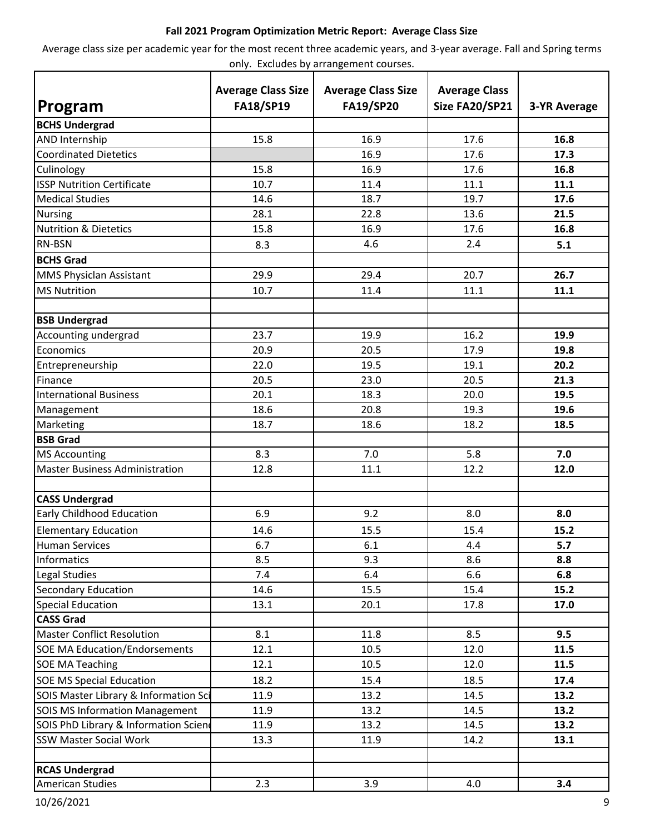## **Fall 2021 Program Optimization Metric Report: Average Class Size**

Average class size per academic year for the most recent three academic years, and 3-year average. Fall and Spring terms only. Excludes by arrangement courses.

| Program                               | <b>Average Class Size</b><br><b>FA18/SP19</b> | <b>Average Class Size</b><br><b>FA19/SP20</b> | <b>Average Class</b><br>Size FA20/SP21 | <b>3-YR Average</b> |
|---------------------------------------|-----------------------------------------------|-----------------------------------------------|----------------------------------------|---------------------|
| <b>BCHS Undergrad</b>                 |                                               |                                               |                                        |                     |
| AND Internship                        | 15.8                                          | 16.9                                          | 17.6                                   | 16.8                |
| <b>Coordinated Dietetics</b>          |                                               | 16.9                                          | 17.6                                   | 17.3                |
| Culinology                            | 15.8                                          | 16.9                                          | 17.6                                   | 16.8                |
| <b>ISSP Nutrition Certificate</b>     | 10.7                                          | 11.4                                          | 11.1                                   | 11.1                |
| <b>Medical Studies</b>                | 14.6                                          | 18.7                                          | 19.7                                   | 17.6                |
| <b>Nursing</b>                        | 28.1                                          | 22.8                                          | 13.6                                   | 21.5                |
| <b>Nutrition &amp; Dietetics</b>      | 15.8                                          | 16.9                                          | 17.6                                   | 16.8                |
| <b>RN-BSN</b>                         | 8.3                                           | 4.6                                           | 2.4                                    | 5.1                 |
| <b>BCHS Grad</b>                      |                                               |                                               |                                        |                     |
| MMS Physiclan Assistant               | 29.9                                          | 29.4                                          | 20.7                                   | 26.7                |
| <b>MS Nutrition</b>                   | 10.7                                          | 11.4                                          | 11.1                                   | 11.1                |
|                                       |                                               |                                               |                                        |                     |
| <b>BSB Undergrad</b>                  |                                               |                                               |                                        |                     |
| Accounting undergrad                  | 23.7                                          | 19.9                                          | 16.2                                   | 19.9                |
| Economics                             | 20.9                                          | 20.5                                          | 17.9                                   | 19.8                |
| Entrepreneurship                      | 22.0                                          | 19.5                                          | 19.1                                   | 20.2                |
| Finance                               | 20.5                                          | 23.0                                          | 20.5                                   | 21.3                |
| <b>International Business</b>         | 20.1                                          | 18.3                                          | 20.0                                   | 19.5                |
| Management                            | 18.6                                          | 20.8                                          | 19.3                                   | 19.6                |
| Marketing                             | 18.7                                          | 18.6                                          | 18.2                                   | 18.5                |
| <b>BSB Grad</b>                       |                                               |                                               |                                        |                     |
| <b>MS Accounting</b>                  | 8.3                                           | 7.0                                           | 5.8                                    | 7.0                 |
| <b>Master Business Administration</b> | 12.8                                          | 11.1                                          | 12.2                                   | 12.0                |
|                                       |                                               |                                               |                                        |                     |
| <b>CASS Undergrad</b>                 |                                               |                                               |                                        |                     |
| Early Childhood Education             | 6.9                                           | 9.2                                           | 8.0                                    | 8.0                 |
| <b>Elementary Education</b>           | 14.6                                          | 15.5                                          | 15.4                                   | 15.2                |
| <b>Human Services</b>                 | 6.7                                           | 6.1                                           | 4.4                                    | 5.7                 |
| Informatics                           | 8.5                                           | 9.3                                           | 8.6                                    | 8.8                 |
| Legal Studies                         | 7.4                                           | 6.4                                           | 6.6                                    | 6.8                 |
| Secondary Education                   | 14.6                                          | 15.5                                          | 15.4                                   | 15.2                |
| Special Education                     | 13.1                                          | 20.1                                          | 17.8                                   | 17.0                |
| <b>CASS Grad</b>                      |                                               |                                               |                                        |                     |
| <b>Master Conflict Resolution</b>     | 8.1                                           | 11.8                                          | 8.5                                    | 9.5                 |
| <b>SOE MA Education/Endorsements</b>  | 12.1                                          | 10.5                                          | 12.0                                   | 11.5                |
| <b>SOE MA Teaching</b>                | 12.1                                          | 10.5                                          | 12.0                                   | 11.5                |
| <b>SOE MS Special Education</b>       | 18.2                                          | 15.4                                          | 18.5                                   | 17.4                |
| SOIS Master Library & Information Sci | 11.9                                          | 13.2                                          | 14.5                                   | 13.2                |
| <b>SOIS MS Information Management</b> | 11.9                                          | 13.2                                          | 14.5                                   | 13.2                |
| SOIS PhD Library & Information Sciend | 11.9                                          | 13.2                                          | 14.5                                   | 13.2                |
| <b>SSW Master Social Work</b>         | 13.3                                          | 11.9                                          | 14.2                                   | 13.1                |
|                                       |                                               |                                               |                                        |                     |
| <b>RCAS Undergrad</b>                 |                                               |                                               |                                        |                     |
| <b>American Studies</b>               | 2.3                                           | 3.9                                           | 4.0                                    | 3.4                 |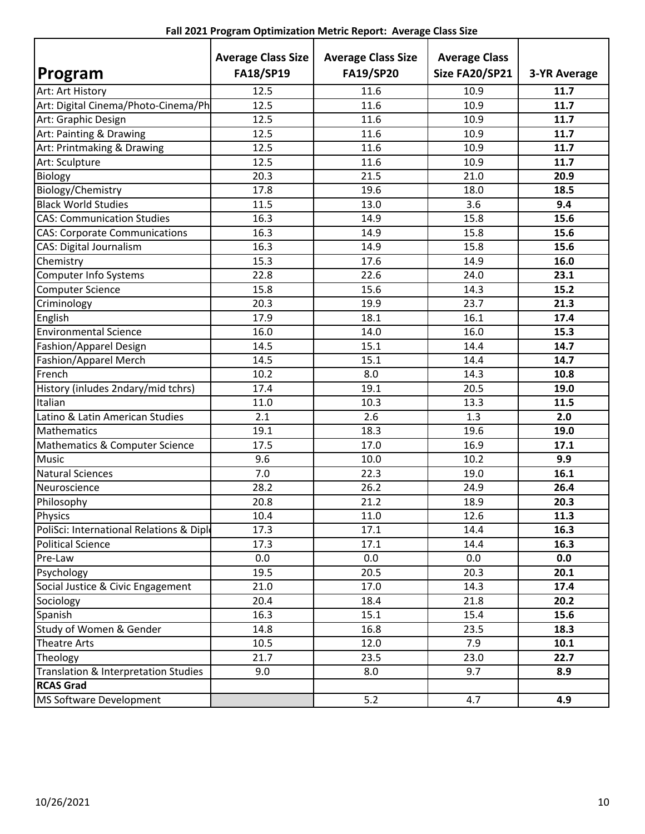| Fall 2021 Program Optimization Metric Report: Average Class Size |  |  |  |  |
|------------------------------------------------------------------|--|--|--|--|
|------------------------------------------------------------------|--|--|--|--|

|                                          | <b>Average Class Size</b> | <b>Average Class Size</b> | <b>Average Class</b> |                     |
|------------------------------------------|---------------------------|---------------------------|----------------------|---------------------|
| Program                                  | <b>FA18/SP19</b>          | <b>FA19/SP20</b>          | Size FA20/SP21       | <b>3-YR Average</b> |
| Art: Art History                         | 12.5                      | 11.6                      | 10.9                 | 11.7                |
| Art: Digital Cinema/Photo-Cinema/Ph      | 12.5                      | 11.6                      | 10.9                 | 11.7                |
| Art: Graphic Design                      | 12.5                      | 11.6                      | 10.9                 | 11.7                |
| Art: Painting & Drawing                  | 12.5                      | 11.6                      | 10.9                 | 11.7                |
| Art: Printmaking & Drawing               | 12.5                      | 11.6                      | 10.9                 | 11.7                |
| Art: Sculpture                           | 12.5                      | 11.6                      | 10.9                 | 11.7                |
| Biology                                  | 20.3                      | 21.5                      | 21.0                 | 20.9                |
| Biology/Chemistry                        | 17.8                      | 19.6                      | 18.0                 | 18.5                |
| <b>Black World Studies</b>               | 11.5                      | 13.0                      | 3.6                  | 9.4                 |
| <b>CAS: Communication Studies</b>        | 16.3                      | 14.9                      | 15.8                 | 15.6                |
| <b>CAS: Corporate Communications</b>     | 16.3                      | 14.9                      | 15.8                 | 15.6                |
| <b>CAS: Digital Journalism</b>           | 16.3                      | 14.9                      | 15.8                 | 15.6                |
| Chemistry                                | 15.3                      | 17.6                      | 14.9                 | 16.0                |
| <b>Computer Info Systems</b>             | 22.8                      | 22.6                      | 24.0                 | 23.1                |
| <b>Computer Science</b>                  | 15.8                      | 15.6                      | 14.3                 | 15.2                |
| Criminology                              | 20.3                      | 19.9                      | 23.7                 | 21.3                |
| English                                  | 17.9                      | 18.1                      | 16.1                 | 17.4                |
| <b>Environmental Science</b>             | 16.0                      | 14.0                      | 16.0                 | 15.3                |
| Fashion/Apparel Design                   | 14.5                      | 15.1                      | 14.4                 | 14.7                |
| Fashion/Apparel Merch                    | 14.5                      | 15.1                      | 14.4                 | 14.7                |
| French                                   | 10.2                      | 8.0                       | 14.3                 | 10.8                |
| History (inludes 2ndary/mid tchrs)       | 17.4                      | 19.1                      | 20.5                 | 19.0                |
| Italian                                  | 11.0                      | 10.3                      | 13.3                 | 11.5                |
| Latino & Latin American Studies          | 2.1                       | 2.6                       | 1.3                  | 2.0                 |
| Mathematics                              | 19.1                      | 18.3                      | 19.6                 | 19.0                |
| Mathematics & Computer Science           | 17.5                      | 17.0                      | 16.9                 | 17.1                |
| Music                                    | 9.6                       | 10.0                      | 10.2                 | 9.9                 |
| <b>Natural Sciences</b>                  | 7.0                       | 22.3                      | 19.0                 | 16.1                |
| Neuroscience                             | 28.2                      | 26.2                      | 24.9                 | 26.4                |
| Philosophy                               | 20.8                      | 21.2                      | 18.9                 | 20.3                |
| <b>Physics</b>                           | 10.4                      | 11.0                      | 12.6                 | 11.3                |
| PoliSci: International Relations & Diple | 17.3                      | 17.1                      | 14.4                 | 16.3                |
| <b>Political Science</b>                 | 17.3                      | 17.1                      | 14.4                 | 16.3                |
| Pre-Law                                  | 0.0                       | 0.0                       | 0.0                  | 0.0                 |
| Psychology                               | 19.5                      | 20.5                      | 20.3                 | 20.1                |
| Social Justice & Civic Engagement        | 21.0                      | 17.0                      | 14.3                 | 17.4                |
| Sociology                                | 20.4                      | 18.4                      | 21.8                 | 20.2                |
| Spanish                                  | 16.3                      | 15.1                      | 15.4                 | 15.6                |
| Study of Women & Gender                  | 14.8                      | 16.8                      | 23.5                 | 18.3                |
| Theatre Arts                             | 10.5                      | 12.0                      | 7.9                  | 10.1                |
| Theology                                 | 21.7                      | 23.5                      | 23.0                 | 22.7                |
| Translation & Interpretation Studies     | 9.0                       | 8.0                       | 9.7                  | 8.9                 |
| <b>RCAS Grad</b>                         |                           |                           |                      |                     |
| MS Software Development                  |                           | 5.2                       | 4.7                  | 4.9                 |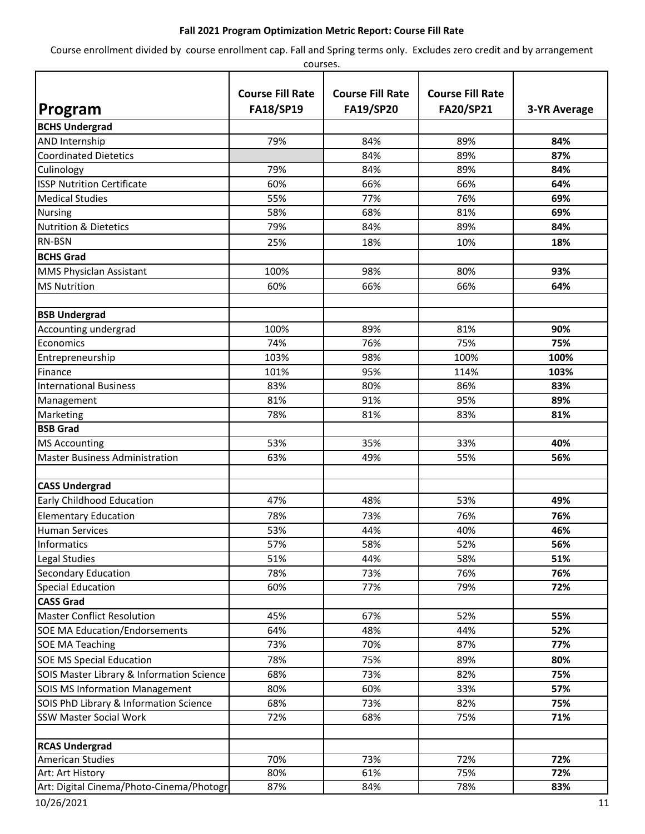### **Fall 2021 Program Optimization Metric Report: Course Fill Rate**

Course enrollment divided by course enrollment cap. Fall and Spring terms only. Excludes zero credit and by arrangement

| courses.                                  |                                             |                                             |                                      |                     |  |
|-------------------------------------------|---------------------------------------------|---------------------------------------------|--------------------------------------|---------------------|--|
| Program                                   | <b>Course Fill Rate</b><br><b>FA18/SP19</b> | <b>Course Fill Rate</b><br><b>FA19/SP20</b> | <b>Course Fill Rate</b><br>FA20/SP21 | <b>3-YR Average</b> |  |
| <b>BCHS Undergrad</b>                     |                                             |                                             |                                      |                     |  |
| AND Internship                            | 79%                                         | 84%                                         | 89%                                  | 84%                 |  |
| <b>Coordinated Dietetics</b>              |                                             | 84%                                         | 89%                                  | 87%                 |  |
| Culinology                                | 79%                                         | 84%                                         | 89%                                  | 84%                 |  |
| <b>ISSP Nutrition Certificate</b>         | 60%                                         | 66%                                         | 66%                                  | 64%                 |  |
| <b>Medical Studies</b>                    | 55%                                         | 77%                                         | 76%                                  | 69%                 |  |
| <b>Nursing</b>                            | 58%                                         | 68%                                         | 81%                                  | 69%                 |  |
| <b>Nutrition &amp; Dietetics</b>          | 79%                                         | 84%                                         | 89%                                  | 84%                 |  |
| <b>RN-BSN</b>                             | 25%                                         | 18%                                         | 10%                                  | 18%                 |  |
| <b>BCHS Grad</b>                          |                                             |                                             |                                      |                     |  |
| <b>MMS Physiclan Assistant</b>            | 100%                                        | 98%                                         | 80%                                  | 93%                 |  |
| <b>MS Nutrition</b>                       | 60%                                         | 66%                                         | 66%                                  | 64%                 |  |
|                                           |                                             |                                             |                                      |                     |  |
| <b>BSB Undergrad</b>                      |                                             |                                             |                                      |                     |  |
| Accounting undergrad                      | 100%                                        | 89%                                         | 81%                                  | 90%                 |  |
| Economics                                 | 74%                                         | 76%                                         | 75%                                  | 75%                 |  |
| Entrepreneurship                          | 103%                                        | 98%                                         | 100%                                 | 100%                |  |
| Finance                                   | 101%                                        | 95%                                         | 114%                                 | 103%                |  |
| <b>International Business</b>             | 83%                                         | 80%                                         | 86%                                  | 83%                 |  |
| Management                                | 81%                                         | 91%                                         | 95%                                  | 89%                 |  |
| Marketing                                 | 78%                                         | 81%                                         | 83%                                  | 81%                 |  |
| <b>BSB Grad</b>                           |                                             |                                             |                                      |                     |  |
| <b>MS Accounting</b>                      | 53%                                         | 35%                                         | 33%                                  | 40%                 |  |
| <b>Master Business Administration</b>     | 63%                                         | 49%                                         | 55%                                  | 56%                 |  |
|                                           |                                             |                                             |                                      |                     |  |
| <b>CASS Undergrad</b>                     |                                             |                                             |                                      |                     |  |
| Early Childhood Education                 | 47%                                         | 48%                                         | 53%                                  | 49%                 |  |
| <b>Elementary Education</b>               | 78%                                         | 73%                                         | 76%                                  | 76%                 |  |
| Human Services                            | 53%                                         | 44%                                         | 40%                                  | 46%                 |  |
| Informatics                               | 57%                                         | 58%                                         | 52%                                  | 56%                 |  |
| Legal Studies                             | 51%                                         | 44%                                         | 58%                                  | 51%                 |  |
| Secondary Education                       | 78%                                         | 73%                                         | 76%                                  | 76%                 |  |
| <b>Special Education</b>                  | 60%                                         | 77%                                         | 79%                                  | 72%                 |  |
| <b>CASS Grad</b>                          |                                             |                                             |                                      |                     |  |
| <b>Master Conflict Resolution</b>         | 45%                                         | 67%                                         | 52%                                  | 55%                 |  |
| <b>SOE MA Education/Endorsements</b>      | 64%                                         | 48%                                         | 44%                                  | 52%                 |  |
| <b>SOE MA Teaching</b>                    | 73%                                         | 70%                                         | 87%                                  | 77%                 |  |
| <b>SOE MS Special Education</b>           | 78%                                         | 75%                                         | 89%                                  | 80%                 |  |
| SOIS Master Library & Information Science | 68%                                         | 73%                                         | 82%                                  | 75%                 |  |
| <b>SOIS MS Information Management</b>     | 80%                                         | 60%                                         | 33%                                  | 57%                 |  |
| SOIS PhD Library & Information Science    | 68%                                         | 73%                                         | 82%                                  | 75%                 |  |
| <b>SSW Master Social Work</b>             | 72%                                         | 68%                                         | 75%                                  | 71%                 |  |
| <b>RCAS Undergrad</b>                     |                                             |                                             |                                      |                     |  |
| <b>American Studies</b>                   | 70%                                         | 73%                                         | 72%                                  | 72%                 |  |
| Art: Art History                          | 80%                                         | 61%                                         | 75%                                  | 72%                 |  |
| Art: Digital Cinema/Photo-Cinema/Photogr  | 87%                                         | 84%                                         | 78%                                  | 83%                 |  |

10/26/2021 11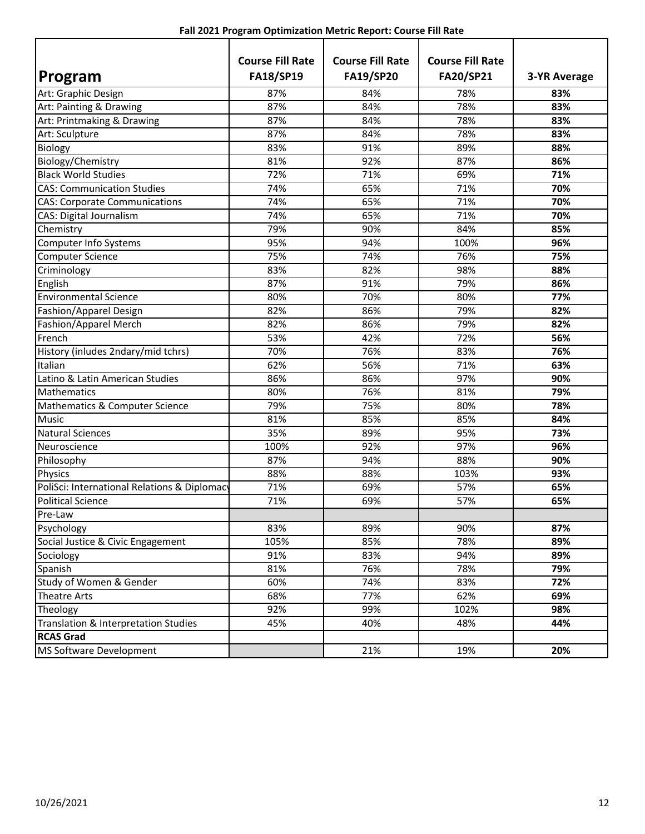| Program                                      | <b>Course Fill Rate</b><br><b>FA18/SP19</b> | <b>Course Fill Rate</b><br><b>FA19/SP20</b> | <b>Course Fill Rate</b><br>FA20/SP21 | <b>3-YR Average</b> |
|----------------------------------------------|---------------------------------------------|---------------------------------------------|--------------------------------------|---------------------|
| Art: Graphic Design                          | 87%                                         | 84%                                         | 78%                                  | 83%                 |
| Art: Painting & Drawing                      | 87%                                         | 84%                                         | 78%                                  | 83%                 |
| Art: Printmaking & Drawing                   | 87%                                         | 84%                                         | 78%                                  | 83%                 |
| Art: Sculpture                               | 87%                                         | 84%                                         | 78%                                  | 83%                 |
| Biology                                      | 83%                                         | 91%                                         | 89%                                  | 88%                 |
| Biology/Chemistry                            | 81%                                         | 92%                                         | 87%                                  | 86%                 |
| <b>Black World Studies</b>                   | 72%                                         | 71%                                         | 69%                                  | 71%                 |
| <b>CAS: Communication Studies</b>            | 74%                                         | 65%                                         | 71%                                  | 70%                 |
| <b>CAS: Corporate Communications</b>         | 74%                                         | 65%                                         | 71%                                  | 70%                 |
| CAS: Digital Journalism                      | 74%                                         | 65%                                         | 71%                                  | 70%                 |
| Chemistry                                    | 79%                                         | 90%                                         | 84%                                  | 85%                 |
| <b>Computer Info Systems</b>                 | 95%                                         | 94%                                         | 100%                                 | 96%                 |
| <b>Computer Science</b>                      | 75%                                         | 74%                                         | 76%                                  | 75%                 |
| Criminology                                  | 83%                                         | 82%                                         | 98%                                  | 88%                 |
| English                                      | 87%                                         | 91%                                         | 79%                                  | 86%                 |
| <b>Environmental Science</b>                 | 80%                                         | 70%                                         | 80%                                  | 77%                 |
| Fashion/Apparel Design                       | 82%                                         | 86%                                         | 79%                                  | 82%                 |
| <b>Fashion/Apparel Merch</b>                 | 82%                                         | 86%                                         | 79%                                  | 82%                 |
| French                                       | 53%                                         | 42%                                         | 72%                                  | 56%                 |
| History (inludes 2ndary/mid tchrs)           | 70%                                         | 76%                                         | 83%                                  | 76%                 |
| Italian                                      | 62%                                         | 56%                                         | 71%                                  | 63%                 |
| Latino & Latin American Studies              | 86%                                         | 86%                                         | 97%                                  | 90%                 |
| Mathematics                                  | 80%                                         | 76%                                         | 81%                                  | 79%                 |
| Mathematics & Computer Science               | 79%                                         | 75%                                         | 80%                                  | 78%                 |
| <b>Music</b>                                 | 81%                                         | 85%                                         | 85%                                  | 84%                 |
| <b>Natural Sciences</b>                      | 35%                                         | 89%                                         | 95%                                  | 73%                 |
| Neuroscience                                 | 100%                                        | 92%                                         | 97%                                  | 96%                 |
| Philosophy                                   | 87%                                         | 94%                                         | 88%                                  | 90%                 |
| <b>Physics</b>                               | 88%                                         | 88%                                         | 103%                                 | 93%                 |
| PoliSci: International Relations & Diplomacy | 71%                                         | 69%                                         | 57%                                  | 65%                 |
| <b>Political Science</b>                     | 71%                                         | 69%                                         | 57%                                  | 65%                 |
| Pre-Law                                      |                                             |                                             |                                      |                     |
| Psychology                                   | 83%                                         | 89%                                         | 90%                                  | 87%                 |
| Social Justice & Civic Engagement            | 105%                                        | 85%                                         | 78%                                  | 89%                 |
| Sociology                                    | 91%                                         | 83%                                         | 94%                                  | 89%                 |
| Spanish                                      | 81%                                         | 76%                                         | 78%                                  | 79%                 |
| Study of Women & Gender                      | 60%                                         | 74%                                         | 83%                                  | 72%                 |
| Theatre Arts                                 | 68%                                         | 77%                                         | 62%                                  | 69%                 |
| Theology                                     | 92%                                         | 99%                                         | 102%                                 | 98%                 |
| Translation & Interpretation Studies         | 45%                                         | 40%                                         | 48%                                  | 44%                 |
| <b>RCAS Grad</b>                             |                                             |                                             |                                      |                     |
| MS Software Development                      |                                             | 21%                                         | 19%                                  | 20%                 |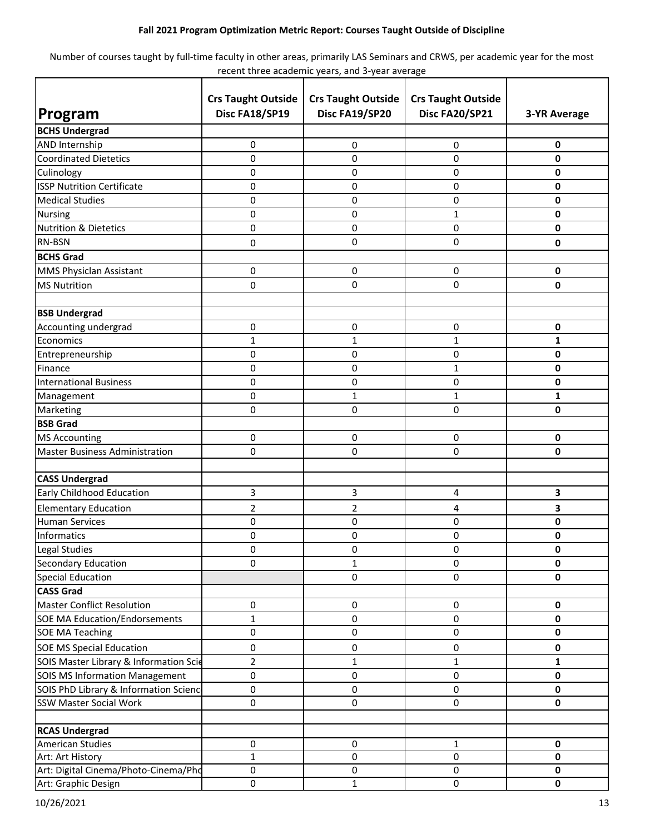### **Fall 2021 Program Optimization Metric Report: Courses Taught Outside of Discipline**

Number of courses taught by full-time faculty in other areas, primarily LAS Seminars and CRWS, per academic year for the most recent three academic years, and 3-year average

|                                        | <b>Crs Taught Outside</b> | <b>Crs Taught Outside</b> | <b>Crs Taught Outside</b> |                     |
|----------------------------------------|---------------------------|---------------------------|---------------------------|---------------------|
| Program                                | Disc FA18/SP19            | Disc FA19/SP20            | Disc FA20/SP21            | <b>3-YR Average</b> |
| <b>BCHS Undergrad</b>                  |                           |                           |                           |                     |
| <b>AND Internship</b>                  | 0                         | 0                         | 0                         | 0                   |
| <b>Coordinated Dietetics</b>           | 0                         | 0                         | 0                         | $\mathbf 0$         |
| Culinology                             | 0                         | 0                         | 0                         | $\pmb{0}$           |
| <b>ISSP Nutrition Certificate</b>      | 0                         | 0                         | 0                         | $\mathbf 0$         |
| <b>Medical Studies</b>                 | 0                         | 0                         | 0                         | $\mathbf 0$         |
| <b>Nursing</b>                         | 0                         | 0                         | 1                         | 0                   |
| <b>Nutrition &amp; Dietetics</b>       | 0                         | 0                         | 0                         | $\mathbf 0$         |
| RN-BSN                                 | 0                         | 0                         | $\pmb{0}$                 | 0                   |
| <b>BCHS Grad</b>                       |                           |                           |                           |                     |
| MMS Physiclan Assistant                | $\pmb{0}$                 | 0                         | 0                         | $\mathbf 0$         |
| <b>MS Nutrition</b>                    | 0                         | 0                         | 0                         | 0                   |
|                                        |                           |                           |                           |                     |
| <b>BSB Undergrad</b>                   |                           |                           |                           |                     |
| Accounting undergrad                   | 0                         | 0                         | 0                         | 0                   |
| Economics                              | 1                         | 1                         | 1                         | 1                   |
| Entrepreneurship                       | 0                         | 0                         | 0                         | 0                   |
| Finance                                | 0                         | 0                         | 1                         | $\pmb{0}$           |
| <b>International Business</b>          | 0                         | 0                         | 0                         | $\mathbf 0$         |
| Management                             | 0                         | $\mathbf{1}$              | 1                         | $\mathbf{1}$        |
| Marketing                              | 0                         | 0                         | 0                         | $\mathbf 0$         |
| <b>BSB Grad</b>                        |                           |                           |                           |                     |
| <b>MS Accounting</b>                   | 0                         | 0                         | 0                         | $\mathbf 0$         |
| <b>Master Business Administration</b>  | 0                         | 0                         | 0                         | $\mathbf 0$         |
|                                        |                           |                           |                           |                     |
| <b>CASS Undergrad</b>                  |                           |                           |                           |                     |
| Early Childhood Education              | 3                         | 3                         | 4                         | 3                   |
| <b>Elementary Education</b>            | 2                         | 2                         | 4                         | 3                   |
| <b>Human Services</b>                  | 0                         | 0                         | 0                         | $\mathbf 0$         |
| Informatics                            | 0                         | 0                         | 0                         | $\pmb{0}$           |
| Legal Studies                          | 0                         | 0                         | 0                         | 0                   |
| Secondary Education                    | 0                         | 1                         | 0                         | $\mathbf 0$         |
| <b>Special Education</b>               |                           | $\pmb{0}$                 | $\pmb{0}$                 | $\pmb{0}$           |
| <b>CASS Grad</b>                       |                           |                           |                           |                     |
| <b>Master Conflict Resolution</b>      | 0                         | 0                         | $\pmb{0}$                 | $\mathbf 0$         |
| <b>SOE MA Education/Endorsements</b>   | $\mathbf{1}$              | 0                         | 0                         | $\mathbf 0$         |
| <b>SOE MA Teaching</b>                 | 0                         | 0                         | 0                         | $\mathbf 0$         |
| <b>SOE MS Special Education</b>        | 0                         | 0                         | $\pmb{0}$                 | $\pmb{0}$           |
| SOIS Master Library & Information Scie | 2                         | 1                         | 1                         | $\mathbf{1}$        |
| <b>SOIS MS Information Management</b>  | 0                         | $\pmb{0}$                 | 0                         | $\mathbf 0$         |
| SOIS PhD Library & Information Scienc  | 0                         | 0                         | $\Omega$                  | $\mathbf 0$         |
| <b>SSW Master Social Work</b>          | $\pmb{0}$                 | $\pmb{0}$                 | $\pmb{0}$                 | $\pmb{0}$           |
|                                        |                           |                           |                           |                     |
| <b>RCAS Undergrad</b>                  |                           |                           |                           |                     |
| <b>American Studies</b>                | $\pmb{0}$                 | $\pmb{0}$                 | $\mathbf{1}$              | $\mathbf 0$         |
| Art: Art History                       | $\mathbf{1}$              | 0                         | 0                         | $\pmb{0}$           |
| Art: Digital Cinema/Photo-Cinema/Pho   | $\pmb{0}$                 | $\pmb{0}$                 | 0                         | $\mathbf 0$         |
| Art: Graphic Design                    | $\pmb{0}$                 | $\mathbf{1}$              | 0                         | $\mathbf 0$         |